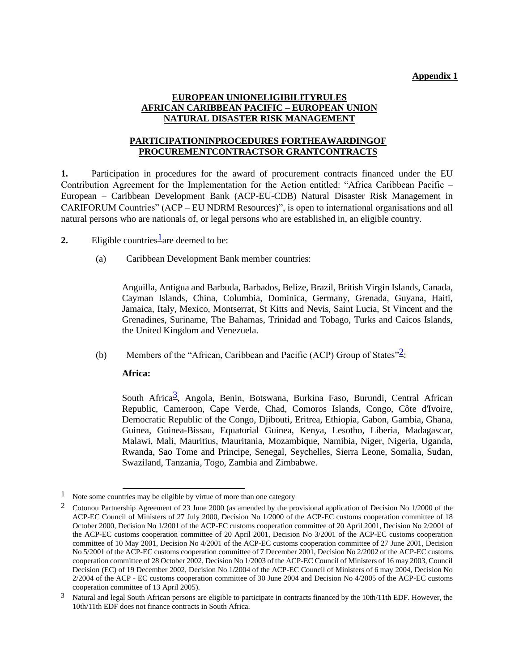#### **Appendix 1**

### **EUROPEAN UNIONELIGIBILITYRULES AFRICAN CARIBBEAN PACIFIC – EUROPEAN UNION NATURAL DISASTER RISK MANAGEMENT**

# **PARTICIPATIONINPROCEDURES FORTHEAWARDINGOF PROCUREMENTCONTRACTSOR GRANTCONTRACTS**

**1.** Participation in procedures for the award of procurement contracts financed under the EU Contribution Agreement for the Implementation for the Action entitled: "Africa Caribbean Pacific – European – Caribbean Development Bank (ACP-EU-CDB) Natural Disaster Risk Management in CARIFORUM Countries" (ACP – EU NDRM Resources)", is open to international organisations and all natural persons who are nationals of, or legal persons who are established in, an eligible country.

2. Eligible countries  $\frac{1}{2}$  are deemed to be:

(a) Caribbean Development Bank member countries:

Anguilla, Antigua and Barbuda, Barbados, Belize, Brazil, British Virgin Islands, Canada, Cayman Islands, China, Columbia, Dominica, Germany, Grenada, Guyana, Haiti, Jamaica, Italy, Mexico, Montserrat, St Kitts and Nevis, Saint Lucia, St Vincent and the Grenadines, Suriname, The Bahamas, Trinidad and Tobago, Turks and Caicos Islands, the United Kingdom and Venezuela.

(b) Members of the "African, Caribbean and Pacific (ACP) Group of States" $\frac{2}{3}$ :

#### **Africa:**

South Africa<sup>3</sup>, Angola, Benin, Botswana, Burkina Faso, Burundi, Central African Republic, Cameroon, Cape Verde, Chad, Comoros Islands, Congo, Côte d'Ivoire, Democratic Republic of the Congo, Djibouti, Eritrea, Ethiopia, Gabon, Gambia, Ghana, Guinea, Guinea-Bissau, Equatorial Guinea, Kenya, Lesotho, Liberia, Madagascar, Malawi, Mali, Mauritius, Mauritania, Mozambique, Namibia, Niger, Nigeria, Uganda, Rwanda, Sao Tome and Principe, Senegal, Seychelles, Sierra Leone, Somalia, Sudan, Swaziland, Tanzania, Togo, Zambia and Zimbabwe.

<sup>&</sup>lt;sup>1</sup> Note some countries may be eligible by virtue of more than one category

<sup>2</sup> Cotonou Partnership Agreement of 23 June 2000 (as amended by the provisional application of Decision No 1/2000 of the ACP-EC Council of Ministers of 27 July 2000, Decision No 1/2000 of the ACP-EC customs cooperation committee of 18 October 2000, Decision No 1/2001 of the ACP-EC customs cooperation committee of 20 April 2001, Decision No 2/2001 of the ACP-EC customs cooperation committee of 20 April 2001, Decision No 3/2001 of the ACP-EC customs cooperation committee of 10 May 2001, Decision No 4/2001 of the ACP-EC customs cooperation committee of 27 June 2001, Decision No 5/2001 of the ACP-EC customs cooperation committee of 7 December 2001, Decision No 2/2002 of the ACP-EC customs cooperation committee of 28 October 2002, Decision No 1/2003 of the ACP-EC Council of Ministers of 16 may 2003, Council Decision (EC) of 19 December 2002, Decision No 1/2004 of the ACP-EC Council of Ministers of 6 may 2004, Decision No 2/2004 of the ACP - EC customs cooperation committee of 30 June 2004 and Decision No 4/2005 of the ACP-EC customs cooperation committee of 13 April 2005).

<sup>&</sup>lt;sup>3</sup> Natural and legal South African persons are eligible to participate in contracts financed by the 10th/11th EDF. However, the 10th/11th EDF does not finance contracts in South Africa.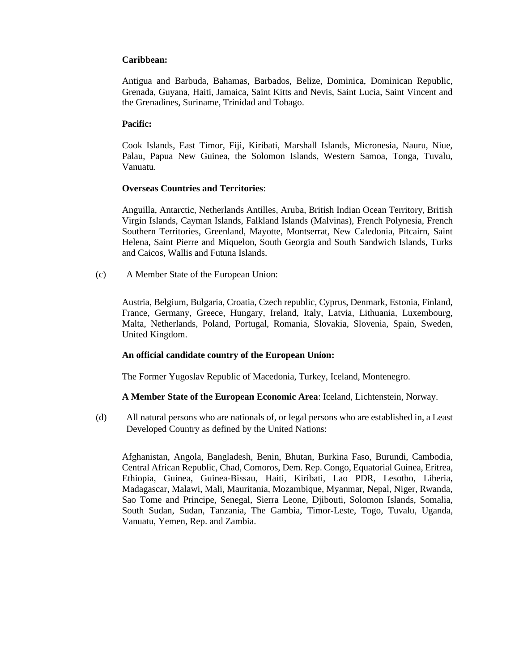### **Caribbean:**

Antigua and Barbuda, Bahamas, Barbados, Belize, Dominica, Dominican Republic, Grenada, Guyana, Haiti, Jamaica, Saint Kitts and Nevis, Saint Lucia, Saint Vincent and the Grenadines, Suriname, Trinidad and Tobago.

### **Pacific:**

Cook Islands, East Timor, Fiji, Kiribati, Marshall Islands, Micronesia, Nauru, Niue, Palau, Papua New Guinea, the Solomon Islands, Western Samoa, Tonga, Tuvalu, Vanuatu.

#### **Overseas Countries and Territories**:

Anguilla, Antarctic, Netherlands Antilles, Aruba, British Indian Ocean Territory, British Virgin Islands, Cayman Islands, Falkland Islands (Malvinas), French Polynesia, French Southern Territories, Greenland, Mayotte, Montserrat, New Caledonia, Pitcairn, Saint Helena, Saint Pierre and Miquelon, South Georgia and South Sandwich Islands, Turks and Caicos, Wallis and Futuna Islands.

(c) A Member State of the European Union:

Austria, Belgium, Bulgaria, Croatia, Czech republic, Cyprus, Denmark, Estonia, Finland, France, Germany, Greece, Hungary, Ireland, Italy, Latvia, Lithuania, Luxembourg, Malta, Netherlands, Poland, Portugal, Romania, Slovakia, Slovenia, Spain, Sweden, United Kingdom.

# **An official candidate country of the European Union:**

The Former Yugoslav Republic of Macedonia, Turkey, Iceland, Montenegro.

# **A Member State of the European Economic Area**: Iceland, Lichtenstein, Norway.

(d) All natural persons who are nationals of, or legal persons who are established in, a Least Developed Country as defined by the United Nations:

Afghanistan, Angola, Bangladesh, Benin, Bhutan, Burkina Faso, Burundi, Cambodia, Central African Republic, Chad, Comoros, Dem. Rep. Congo, Equatorial Guinea, Eritrea, Ethiopia, Guinea, Guinea-Bissau, Haiti, Kiribati, Lao PDR, Lesotho, Liberia, Madagascar, Malawi, Mali, Mauritania, Mozambique, Myanmar, Nepal, Niger, Rwanda, Sao Tome and Principe, Senegal, Sierra Leone, Djibouti, Solomon Islands, Somalia, South Sudan, Sudan, Tanzania, The Gambia, Timor-Leste, Togo, Tuvalu, Uganda, Vanuatu, Yemen, Rep. and Zambia.